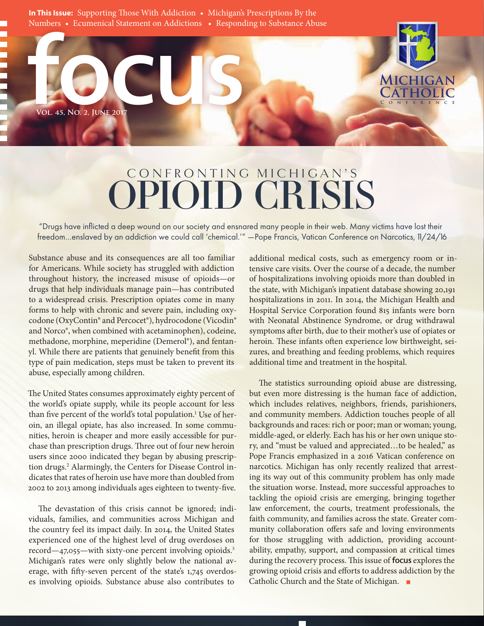VOL. 45, NO. 2, JUNE 2017 **In This Issue:** Supporting Those With Addiction • Michigan's Prescriptions By the Numbers • Ecumenical Statement on Addictions • Responding to Substance Abuse

# CONFRONTING MICHIGAN'S OPIOID CRISIS

"Drugs have inflicted a deep wound on our society and ensnared many people in their web. Many victims have lost their freedom…enslaved by an addiction we could call 'chemical.'" —Pope Francis, Vatican Conference on Narcotics, 11/24/16

Substance abuse and its consequences are all too familiar for Americans. While society has struggled with addiction throughout history, the increased misuse of opioids—or drugs that help individuals manage pain—has contributed to a widespread crisis. Prescription opiates come in many forms to help with chronic and severe pain, including oxycodone (OxyContin® and Percocet®), hydrocodone (Vicodin® and Norco®, when combined with acetaminophen), codeine, methadone, morphine, meperidine (Demerol®), and fentanyl. While there are patients that genuinely benefit from this type of pain medication, steps must be taken to prevent its abuse, especially among children.

**Vol. 45, No. 2, June 2017**

The United States consumes approximately eighty percent of the world's opiate supply, while its people account for less than five percent of the world's total population.<sup>1</sup> Use of heroin, an illegal opiate, has also increased. In some communities, heroin is cheaper and more easily accessible for purchase than prescription drugs. Three out of four new heroin users since 2000 indicated they began by abusing prescription drugs.<sup>2</sup> Alarmingly, the Centers for Disease Control indicates that rates of heroin use have more than doubled from 2002 to 2013 among individuals ages eighteen to twenty-five.

The devastation of this crisis cannot be ignored; individuals, families, and communities across Michigan and the country feel its impact daily. In 2014, the United States experienced one of the highest level of drug overdoses on record—47,055—with sixty-one percent involving opioids.<sup>3</sup> Michigan's rates were only slightly below the national average, with fifty-seven percent of the state's 1,745 overdoses involving opioids. Substance abuse also contributes to

additional medical costs, such as emergency room or intensive care visits. Over the course of a decade, the number of hospitalizations involving opioids more than doubled in the state, with Michigan's inpatient database showing 20,191 hospitalizations in 2011. In 2014, the Michigan Health and Hospital Service Corporation found 815 infants were born with Neonatal Abstinence Syndrome, or drug withdrawal symptoms after birth, due to their mother's use of opiates or heroin. These infants often experience low birthweight, seizures, and breathing and feeding problems, which requires additional time and treatment in the hospital.

**Conference**

**Michigan Catholic**

The statistics surrounding opioid abuse are distressing, but even more distressing is the human face of addiction, which includes relatives, neighbors, friends, parishioners, and community members. Addiction touches people of all backgrounds and races: rich or poor; man or woman; young, middle-aged, or elderly. Each has his or her own unique story, and "must be valued and appreciated…to be healed," as Pope Francis emphasized in a 2016 Vatican conference on narcotics. Michigan has only recently realized that arresting its way out of this community problem has only made the situation worse. Instead, more successful approaches to tackling the opioid crisis are emerging, bringing together law enforcement, the courts, treatment professionals, the faith community, and families across the state. Greater community collaboration offers safe and loving environments for those struggling with addiction, providing accountability, empathy, support, and compassion at critical times during the recovery process. This issue of focus explores the growing opioid crisis and efforts to address addiction by the Catholic Church and the State of Michigan. ■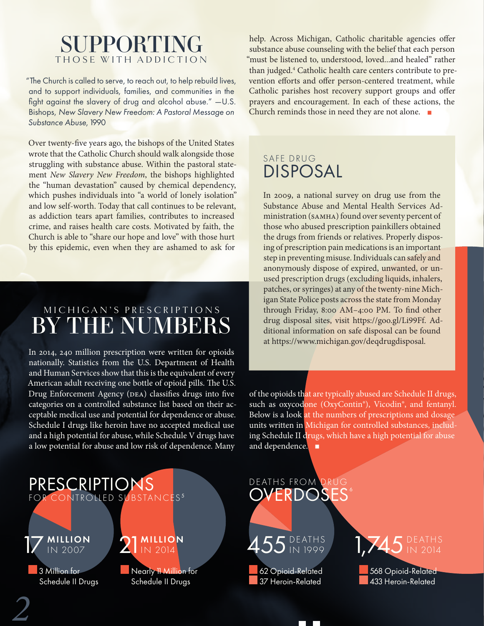## SUPPORTING THOSE WITH ADDICTION

"The Church is called to serve, to reach out, to help rebuild lives, and to support individuals, families, and communities in the fight against the slavery of drug and alcohol abuse." —U.S. Bishops, *New Slavery New Freedom: A Pastoral Message on Substance Abuse*, 1990

Over twenty-five years ago, the bishops of the United States wrote that the Catholic Church should walk alongside those struggling with substance abuse. Within the pastoral statement *New Slavery New Freedom*, the bishops highlighted the "human devastation" caused by chemical dependency, which pushes individuals into "a world of lonely isolation" and low self-worth. Today that call continues to be relevant, as addiction tears apart families, contributes to increased crime, and raises health care costs. Motivated by faith, the Church is able to "share our hope and love" with those hurt by this epidemic, even when they are ashamed to ask for

# M I C H I G A N ' S P R E S C R I P T I O N S BY THE NUMBERS

In 2014, 240 million prescription were written for opioids nationally. Statistics from the U.S. Department of Health and Human Services show that this is the equivalent of every American adult receiving one bottle of opioid pills. The U.S. Drug Enforcement Agency (DEA) classifies drugs into five categories on a controlled substance list based on their acceptable medical use and potential for dependence or abuse. Schedule I drugs like heroin have no accepted medical use and a high potential for abuse, while Schedule V drugs have a low potential for abuse and low risk of dependence. Many

help. Across Michigan, Catholic charitable agencies offer substance abuse counseling with the belief that each person "must be listened to, understood, loved...and healed" rather than judged.4 Catholic health care centers contribute to prevention efforts and offer person-centered treatment, while Catholic parishes host recovery support groups and offer prayers and encouragement. In each of these actions, the Church reminds those in need they are not alone. ■

## SAFE DRUG DISPOSAL

In 2009, a national survey on drug use from the Substance Abuse and Mental Health Services Administration (SAMHA) found over seventy percent of those who abused prescription painkillers obtained the drugs from friends or relatives. Properly disposing of prescription pain medications is an important step in preventing misuse. Individuals can safely and anonymously dispose of expired, unwanted, or unused prescription drugs (excluding liquids, inhalers, patches, or syringes) at any of the twenty-nine Michigan State Police posts across the state from Monday through Friday, 8:00 AM–4:00 PM. To find other drug disposal sites, visit https://goo.gl/Li99Ff. Additional information on safe disposal can be found at https://www.michigan.gov/deqdrugdisposal.

of the opioids that are typically abused are Schedule II drugs, such as oxycodone (OxyContin®), Vicodin®, and fentanyl. Below is a look at the numbers of prescriptions and dosage units written in Michigan for controlled substances, including Schedule II drugs, which have a high potential for abuse and dependence.



Schedule II Drugs

*2*

Schedule II Drugs

# DEATHS FROM



 62 Opioid-Related 37 Heroin-Related



 568 Opioid-Related 433 Heroin-Related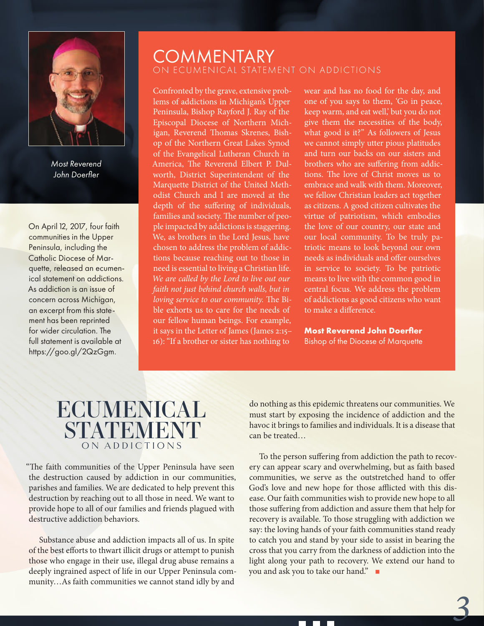

*Most Reverend John Doerfler*

On April 12, 2017, four faith communities in the Upper Peninsula, including the Catholic Diocese of Marquette, released an ecumenical statement on addictions. As addiction is an issue of concern across Michigan, an excerpt from this statement has been reprinted for wider circulation. The full statement is available at https://goo.gl/2QzGgm.

#### **COMMENTARY** ON ECUMENICAL STATEMENT ON ADDICTIONS

Confronted by the grave, extensive problems of addictions in Michigan's Upper Peninsula, Bishop Rayford J. Ray of the Episcopal Diocese of Northern Michigan, Reverend Thomas Skrenes, Bishop of the Northern Great Lakes Synod of the Evangelical Lutheran Church in America, The Reverend Elbert P. Dulworth, District Superintendent of the Marquette District of the United Methodist Church and I are moved at the depth of the suffering of individuals, families and society. The number of people impacted by addictions is staggering. We, as brothers in the Lord Jesus, have chosen to address the problem of addictions because reaching out to those in need is essential to living a Christian life. *We are called by the Lord to live out our faith not just behind church walls, but in loving service to our community.* The Bible exhorts us to care for the needs of our fellow human beings. For example, it says in the Letter of James (James 2:15– 16): "If a brother or sister has nothing to

wear and has no food for the day, and one of you says to them, 'Go in peace, keep warm, and eat well,' but you do not give them the necessities of the body, what good is it?" As followers of Jesus we cannot simply utter pious platitudes and turn our backs on our sisters and brothers who are suffering from addictions. The love of Christ moves us to embrace and walk with them. Moreover, we fellow Christian leaders act together as citizens. A good citizen cultivates the virtue of patriotism, which embodies the love of our country, our state and our local community. To be truly patriotic means to look beyond our own needs as individuals and offer ourselves in service to society. To be patriotic means to live with the common good in central focus. We address the problem of addictions as good citizens who want to make a difference.

**Most Reverend John Doerfler** 

Bishop of the Diocese of Marquette

# ECUMENICAL STATEMENT ON ADDICTIONS

"The faith communities of the Upper Peninsula have seen the destruction caused by addiction in our communities, parishes and families. We are dedicated to help prevent this destruction by reaching out to all those in need. We want to provide hope to all of our families and friends plagued with destructive addiction behaviors.

Substance abuse and addiction impacts all of us. In spite of the best efforts to thwart illicit drugs or attempt to punish those who engage in their use, illegal drug abuse remains a deeply ingrained aspect of life in our Upper Peninsula community…As faith communities we cannot stand idly by and

do nothing as this epidemic threatens our communities. We must start by exposing the incidence of addiction and the havoc it brings to families and individuals. It is a disease that can be treated…

To the person suffering from addiction the path to recovery can appear scary and overwhelming, but as faith based communities, we serve as the outstretched hand to offer God's love and new hope for those afflicted with this disease. Our faith communities wish to provide new hope to all those suffering from addiction and assure them that help for recovery is available. To those struggling with addiction we say: the loving hands of your faith communities stand ready to catch you and stand by your side to assist in bearing the cross that you carry from the darkness of addiction into the light along your path to recovery. We extend our hand to you and ask you to take our hand." ■

*3*